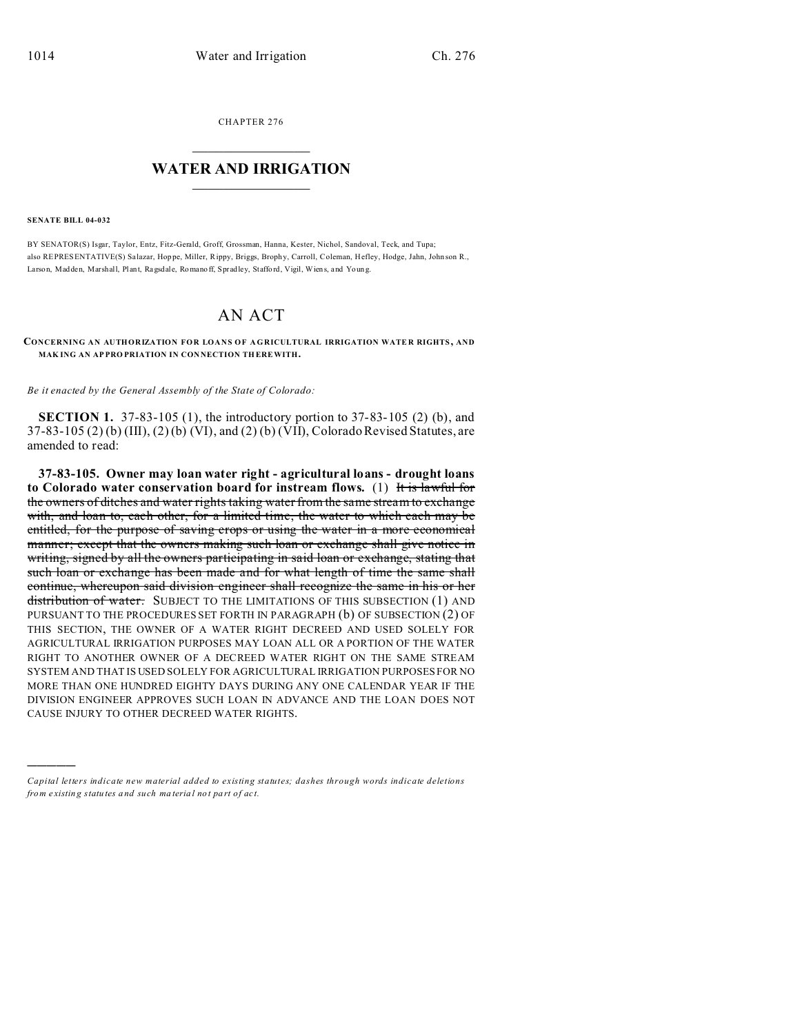CHAPTER 276  $\overline{\phantom{a}}$  , where  $\overline{\phantom{a}}$ 

## **WATER AND IRRIGATION**  $\_$   $\_$   $\_$   $\_$   $\_$   $\_$   $\_$   $\_$   $\_$

## **SENATE BILL 04-032**

)))))

BY SENATOR(S) Isgar, Taylor, Entz, Fitz-Gerald, Groff, Grossman, Hanna, Kester, Nichol, Sandoval, Teck, and Tupa; also REPRESENTATIVE(S) Sa lazar, Hoppe, Miller, Rippy, Briggs, Brophy, Carroll, Coleman, Hefley, Hodge, Jahn, John son R., Larso n, Madden, Marshall, Plant, Ragsdale, Romano ff, Spradley, Staffo rd, Vigil, Wien s, and Youn g.

## AN ACT

**CONCERNING AN AUTHORIZATION FOR LOANS OF AGRICULTURAL IRRIGATION WATE R RIGHTS , AND MAKING AN APPROPRIATION IN CONNECTION THEREWITH.** 

*Be it enacted by the General Assembly of the State of Colorado:*

**SECTION 1.** 37-83-105 (1), the introductory portion to 37-83-105 (2) (b), and 37-83-105 (2) (b) (III), (2) (b) (VI), and (2) (b) (VII), Colorado Revised Statutes, are amended to read:

**37-83-105. Owner may loan water right - agricultural loans - drought loans to Colorado water conservation board for instream flows.** (1) It is lawful for the owners of ditches and water rights taking water from the same stream to exchange with, and loan to, each other, for a limited time, the water to which each may be entitled, for the purpose of saving crops or using the water in a more economical manner; except that the owners making such loan or exchange shall give notice in writing, signed by all the owners participating in said loan or exchange, stating that such loan or exchange has been made and for what length of time the same shall continue, whereupon said division engineer shall recognize the same in his or her distribution of water. SUBJECT TO THE LIMITATIONS OF THIS SUBSECTION (1) AND PURSUANT TO THE PROCEDURES SET FORTH IN PARAGRAPH (b) OF SUBSECTION (2) OF THIS SECTION, THE OWNER OF A WATER RIGHT DECREED AND USED SOLELY FOR AGRICULTURAL IRRIGATION PURPOSES MAY LOAN ALL OR A PORTION OF THE WATER RIGHT TO ANOTHER OWNER OF A DECREED WATER RIGHT ON THE SAME STREAM SYSTEM AND THAT IS USED SOLELY FOR AGRICULTURAL IRRIGATION PURPOSES FOR NO MORE THAN ONE HUNDRED EIGHTY DAYS DURING ANY ONE CALENDAR YEAR IF THE DIVISION ENGINEER APPROVES SUCH LOAN IN ADVANCE AND THE LOAN DOES NOT CAUSE INJURY TO OTHER DECREED WATER RIGHTS.

*Capital letters indicate new material added to existing statutes; dashes through words indicate deletions from e xistin g statu tes a nd such ma teria l no t pa rt of ac t.*